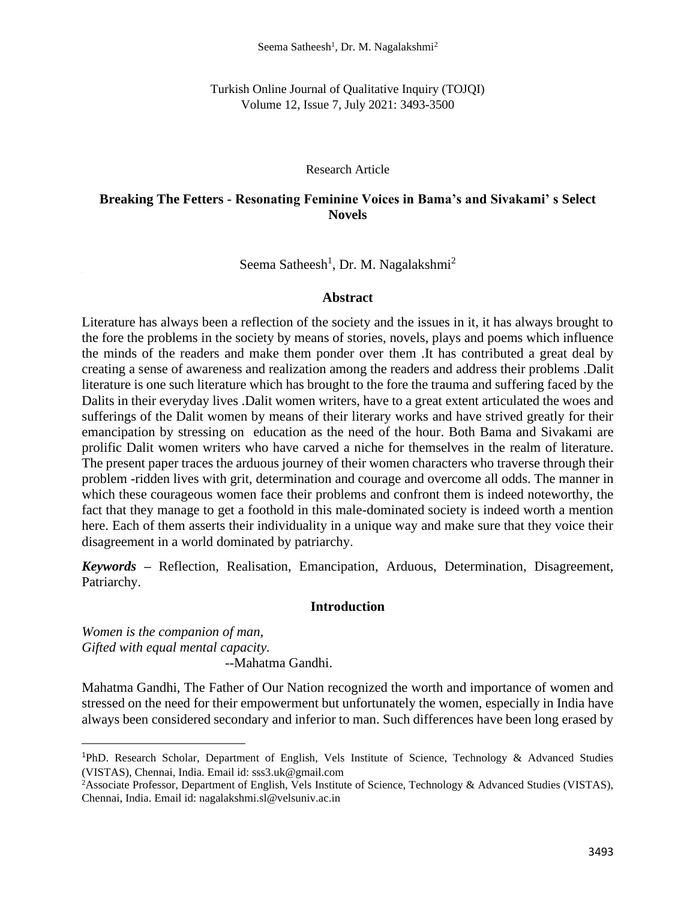Turkish Online Journal of Qualitative Inquiry (TOJQI) Volume 12, Issue 7, July 2021: 3493-3500

## Research Article

# **Breaking The Fetters - Resonating Feminine Voices in Bama's and Sivakami' s Select Novels**

# Seema Satheesh<sup>1</sup>, Dr. M. Nagalakshmi<sup>2</sup>

## **Abstract**

Literature has always been a reflection of the society and the issues in it, it has always brought to the fore the problems in the society by means of stories, novels, plays and poems which influence the minds of the readers and make them ponder over them .It has contributed a great deal by creating a sense of awareness and realization among the readers and address their problems .Dalit literature is one such literature which has brought to the fore the trauma and suffering faced by the Dalits in their everyday lives .Dalit women writers, have to a great extent articulated the woes and sufferings of the Dalit women by means of their literary works and have strived greatly for their emancipation by stressing on education as the need of the hour. Both Bama and Sivakami are prolific Dalit women writers who have carved a niche for themselves in the realm of literature. The present paper traces the arduous journey of their women characters who traverse through their problem -ridden lives with grit, determination and courage and overcome all odds. The manner in which these courageous women face their problems and confront them is indeed noteworthy, the fact that they manage to get a foothold in this male-dominated society is indeed worth a mention here. Each of them asserts their individuality in a unique way and make sure that they voice their disagreement in a world dominated by patriarchy.

*Keywords –* Reflection, Realisation, Emancipation, Arduous, Determination, Disagreement, Patriarchy.

## **Introduction**

*Women is the companion of man, Gifted with equal mental capacity.* --Mahatma Gandhi.

Mahatma Gandhi, The Father of Our Nation recognized the worth and importance of women and stressed on the need for their empowerment but unfortunately the women, especially in India have always been considered secondary and inferior to man. Such differences have been long erased by

<sup>1</sup>PhD. Research Scholar, Department of English, Vels Institute of Science, Technology & Advanced Studies (VISTAS), Chennai, India. Email id: sss3.uk@gmail.com

<sup>2</sup>Associate Professor, Department of English, Vels Institute of Science, Technology & Advanced Studies (VISTAS), Chennai, India. Email id: nagalakshmi.sl@velsuniv.ac.in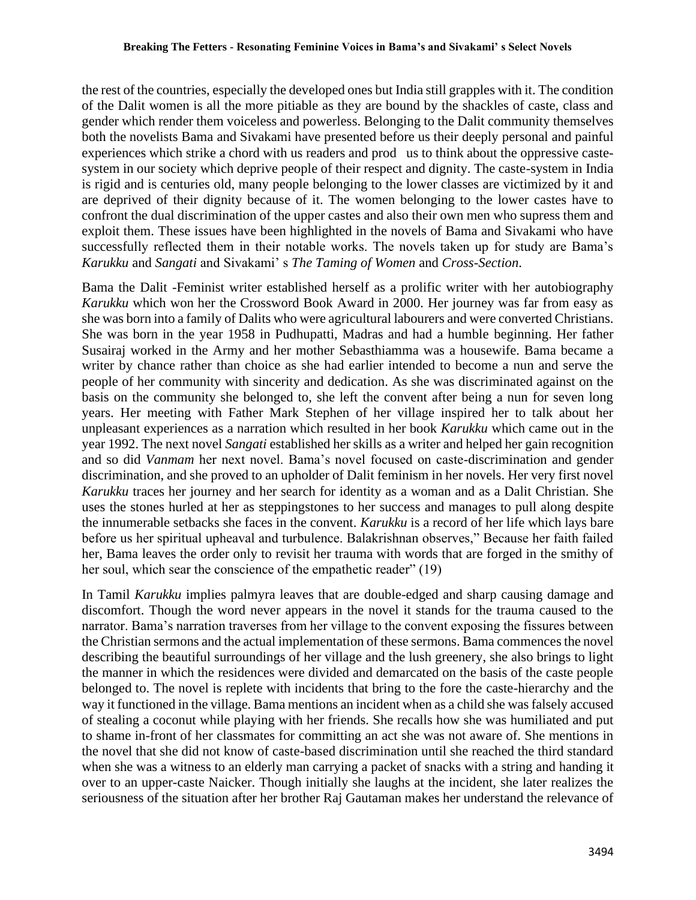the rest of the countries, especially the developed ones but India still grapples with it. The condition of the Dalit women is all the more pitiable as they are bound by the shackles of caste, class and gender which render them voiceless and powerless. Belonging to the Dalit community themselves both the novelists Bama and Sivakami have presented before us their deeply personal and painful experiences which strike a chord with us readers and prod us to think about the oppressive castesystem in our society which deprive people of their respect and dignity. The caste-system in India is rigid and is centuries old, many people belonging to the lower classes are victimized by it and are deprived of their dignity because of it. The women belonging to the lower castes have to confront the dual discrimination of the upper castes and also their own men who supress them and exploit them. These issues have been highlighted in the novels of Bama and Sivakami who have successfully reflected them in their notable works. The novels taken up for study are Bama's *Karukku* and *Sangati* and Sivakami' s *The Taming of Women* and *Cross-Section*.

Bama the Dalit -Feminist writer established herself as a prolific writer with her autobiography *Karukku* which won her the Crossword Book Award in 2000. Her journey was far from easy as she was born into a family of Dalits who were agricultural labourers and were converted Christians. She was born in the year 1958 in Pudhupatti, Madras and had a humble beginning. Her father Susairaj worked in the Army and her mother Sebasthiamma was a housewife. Bama became a writer by chance rather than choice as she had earlier intended to become a nun and serve the people of her community with sincerity and dedication. As she was discriminated against on the basis on the community she belonged to, she left the convent after being a nun for seven long years. Her meeting with Father Mark Stephen of her village inspired her to talk about her unpleasant experiences as a narration which resulted in her book *Karukku* which came out in the year 1992. The next novel *Sangati* established her skills as a writer and helped her gain recognition and so did *Vanmam* her next novel. Bama's novel focused on caste-discrimination and gender discrimination, and she proved to an upholder of Dalit feminism in her novels. Her very first novel *Karukku* traces her journey and her search for identity as a woman and as a Dalit Christian. She uses the stones hurled at her as steppingstones to her success and manages to pull along despite the innumerable setbacks she faces in the convent. *Karukku* is a record of her life which lays bare before us her spiritual upheaval and turbulence. Balakrishnan observes," Because her faith failed her, Bama leaves the order only to revisit her trauma with words that are forged in the smithy of her soul, which sear the conscience of the empathetic reader" (19)

In Tamil *Karukku* implies palmyra leaves that are double-edged and sharp causing damage and discomfort. Though the word never appears in the novel it stands for the trauma caused to the narrator. Bama's narration traverses from her village to the convent exposing the fissures between the Christian sermons and the actual implementation of these sermons. Bama commences the novel describing the beautiful surroundings of her village and the lush greenery, she also brings to light the manner in which the residences were divided and demarcated on the basis of the caste people belonged to. The novel is replete with incidents that bring to the fore the caste-hierarchy and the way it functioned in the village. Bama mentions an incident when as a child she was falsely accused of stealing a coconut while playing with her friends. She recalls how she was humiliated and put to shame in-front of her classmates for committing an act she was not aware of. She mentions in the novel that she did not know of caste-based discrimination until she reached the third standard when she was a witness to an elderly man carrying a packet of snacks with a string and handing it over to an upper-caste Naicker. Though initially she laughs at the incident, she later realizes the seriousness of the situation after her brother Raj Gautaman makes her understand the relevance of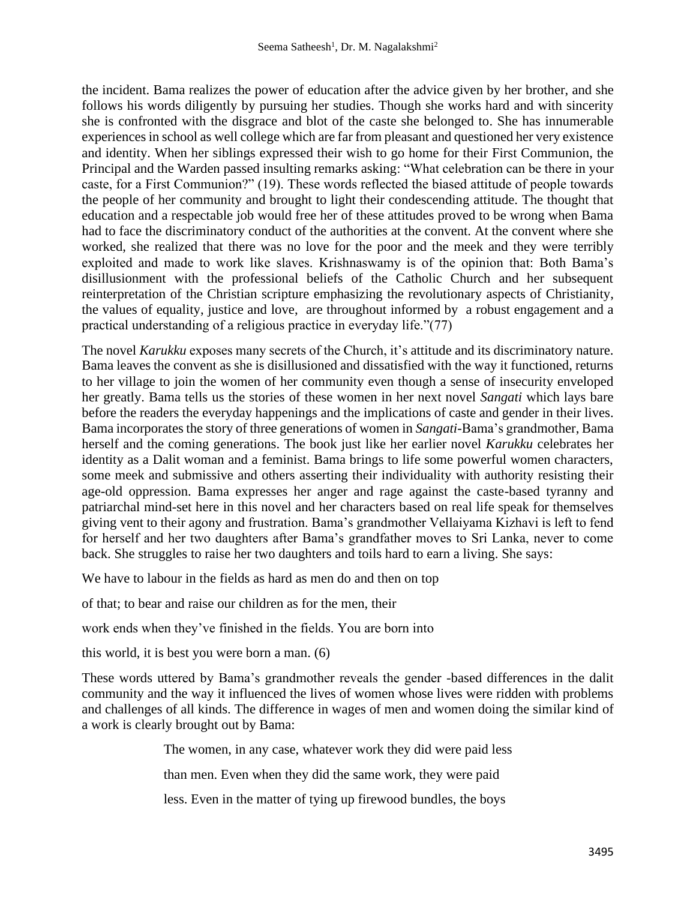the incident. Bama realizes the power of education after the advice given by her brother, and she follows his words diligently by pursuing her studies. Though she works hard and with sincerity she is confronted with the disgrace and blot of the caste she belonged to. She has innumerable experiences in school as well college which are far from pleasant and questioned her very existence and identity. When her siblings expressed their wish to go home for their First Communion, the Principal and the Warden passed insulting remarks asking: "What celebration can be there in your caste, for a First Communion?" (19). These words reflected the biased attitude of people towards the people of her community and brought to light their condescending attitude. The thought that education and a respectable job would free her of these attitudes proved to be wrong when Bama had to face the discriminatory conduct of the authorities at the convent. At the convent where she worked, she realized that there was no love for the poor and the meek and they were terribly exploited and made to work like slaves. Krishnaswamy is of the opinion that: Both Bama's disillusionment with the professional beliefs of the Catholic Church and her subsequent reinterpretation of the Christian scripture emphasizing the revolutionary aspects of Christianity, the values of equality, justice and love, are throughout informed by a robust engagement and a practical understanding of a religious practice in everyday life."(77)

The novel *Karukku* exposes many secrets of the Church, it's attitude and its discriminatory nature. Bama leaves the convent as she is disillusioned and dissatisfied with the way it functioned, returns to her village to join the women of her community even though a sense of insecurity enveloped her greatly. Bama tells us the stories of these women in her next novel *Sangati* which lays bare before the readers the everyday happenings and the implications of caste and gender in their lives. Bama incorporates the story of three generations of women in *Sangati*-Bama's grandmother, Bama herself and the coming generations. The book just like her earlier novel *Karukku* celebrates her identity as a Dalit woman and a feminist. Bama brings to life some powerful women characters, some meek and submissive and others asserting their individuality with authority resisting their age-old oppression. Bama expresses her anger and rage against the caste-based tyranny and patriarchal mind-set here in this novel and her characters based on real life speak for themselves giving vent to their agony and frustration. Bama's grandmother Vellaiyama Kizhavi is left to fend for herself and her two daughters after Bama's grandfather moves to Sri Lanka, never to come back. She struggles to raise her two daughters and toils hard to earn a living. She says:

We have to labour in the fields as hard as men do and then on top

of that; to bear and raise our children as for the men, their

work ends when they've finished in the fields. You are born into

this world, it is best you were born a man. (6)

These words uttered by Bama's grandmother reveals the gender -based differences in the dalit community and the way it influenced the lives of women whose lives were ridden with problems and challenges of all kinds. The difference in wages of men and women doing the similar kind of a work is clearly brought out by Bama:

The women, in any case, whatever work they did were paid less

than men. Even when they did the same work, they were paid

less. Even in the matter of tying up firewood bundles, the boys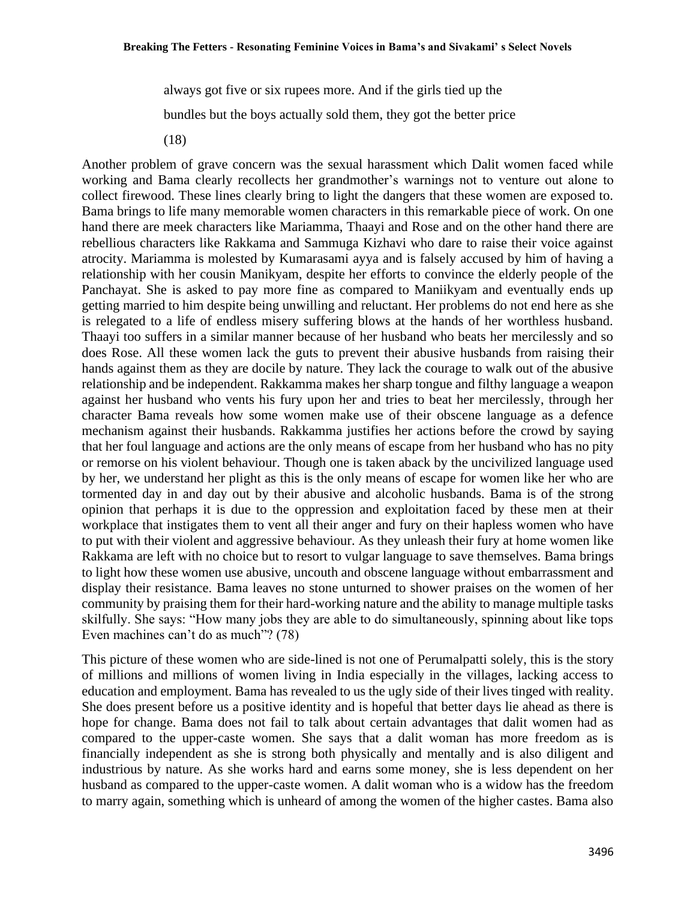always got five or six rupees more. And if the girls tied up the bundles but the boys actually sold them, they got the better price

(18)

Another problem of grave concern was the sexual harassment which Dalit women faced while working and Bama clearly recollects her grandmother's warnings not to venture out alone to collect firewood. These lines clearly bring to light the dangers that these women are exposed to. Bama brings to life many memorable women characters in this remarkable piece of work. On one hand there are meek characters like Mariamma, Thaayi and Rose and on the other hand there are rebellious characters like Rakkama and Sammuga Kizhavi who dare to raise their voice against atrocity. Mariamma is molested by Kumarasami ayya and is falsely accused by him of having a relationship with her cousin Manikyam, despite her efforts to convince the elderly people of the Panchayat. She is asked to pay more fine as compared to Maniikyam and eventually ends up getting married to him despite being unwilling and reluctant. Her problems do not end here as she is relegated to a life of endless misery suffering blows at the hands of her worthless husband. Thaayi too suffers in a similar manner because of her husband who beats her mercilessly and so does Rose. All these women lack the guts to prevent their abusive husbands from raising their hands against them as they are docile by nature. They lack the courage to walk out of the abusive relationship and be independent. Rakkamma makes her sharp tongue and filthy language a weapon against her husband who vents his fury upon her and tries to beat her mercilessly, through her character Bama reveals how some women make use of their obscene language as a defence mechanism against their husbands. Rakkamma justifies her actions before the crowd by saying that her foul language and actions are the only means of escape from her husband who has no pity or remorse on his violent behaviour. Though one is taken aback by the uncivilized language used by her, we understand her plight as this is the only means of escape for women like her who are tormented day in and day out by their abusive and alcoholic husbands. Bama is of the strong opinion that perhaps it is due to the oppression and exploitation faced by these men at their workplace that instigates them to vent all their anger and fury on their hapless women who have to put with their violent and aggressive behaviour. As they unleash their fury at home women like Rakkama are left with no choice but to resort to vulgar language to save themselves. Bama brings to light how these women use abusive, uncouth and obscene language without embarrassment and display their resistance. Bama leaves no stone unturned to shower praises on the women of her community by praising them for their hard-working nature and the ability to manage multiple tasks skilfully. She says: "How many jobs they are able to do simultaneously, spinning about like tops Even machines can't do as much"? (78)

This picture of these women who are side-lined is not one of Perumalpatti solely, this is the story of millions and millions of women living in India especially in the villages, lacking access to education and employment. Bama has revealed to us the ugly side of their lives tinged with reality. She does present before us a positive identity and is hopeful that better days lie ahead as there is hope for change. Bama does not fail to talk about certain advantages that dalit women had as compared to the upper-caste women. She says that a dalit woman has more freedom as is financially independent as she is strong both physically and mentally and is also diligent and industrious by nature. As she works hard and earns some money, she is less dependent on her husband as compared to the upper-caste women. A dalit woman who is a widow has the freedom to marry again, something which is unheard of among the women of the higher castes. Bama also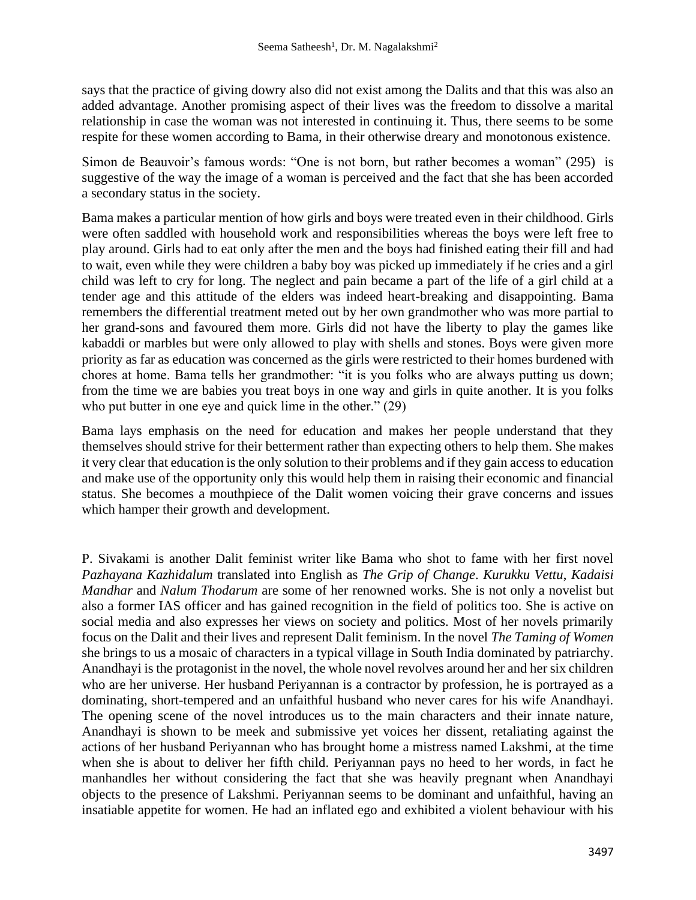says that the practice of giving dowry also did not exist among the Dalits and that this was also an added advantage. Another promising aspect of their lives was the freedom to dissolve a marital relationship in case the woman was not interested in continuing it. Thus, there seems to be some respite for these women according to Bama, in their otherwise dreary and monotonous existence.

Simon de Beauvoir's famous words: "One is not born, but rather becomes a woman" (295) is suggestive of the way the image of a woman is perceived and the fact that she has been accorded a secondary status in the society.

Bama makes a particular mention of how girls and boys were treated even in their childhood. Girls were often saddled with household work and responsibilities whereas the boys were left free to play around. Girls had to eat only after the men and the boys had finished eating their fill and had to wait, even while they were children a baby boy was picked up immediately if he cries and a girl child was left to cry for long. The neglect and pain became a part of the life of a girl child at a tender age and this attitude of the elders was indeed heart-breaking and disappointing. Bama remembers the differential treatment meted out by her own grandmother who was more partial to her grand-sons and favoured them more. Girls did not have the liberty to play the games like kabaddi or marbles but were only allowed to play with shells and stones. Boys were given more priority as far as education was concerned as the girls were restricted to their homes burdened with chores at home. Bama tells her grandmother: "it is you folks who are always putting us down; from the time we are babies you treat boys in one way and girls in quite another. It is you folks who put butter in one eye and quick lime in the other." (29)

Bama lays emphasis on the need for education and makes her people understand that they themselves should strive for their betterment rather than expecting others to help them. She makes it very clear that education is the only solution to their problems and if they gain access to education and make use of the opportunity only this would help them in raising their economic and financial status. She becomes a mouthpiece of the Dalit women voicing their grave concerns and issues which hamper their growth and development.

P. Sivakami is another Dalit feminist writer like Bama who shot to fame with her first novel *Pazhayana Kazhidalum* translated into English as *The Grip of Change*. *Kurukku Vettu*, *Kadaisi Mandhar* and *Nalum Thodarum* are some of her renowned works. She is not only a novelist but also a former IAS officer and has gained recognition in the field of politics too. She is active on social media and also expresses her views on society and politics. Most of her novels primarily focus on the Dalit and their lives and represent Dalit feminism. In the novel *The Taming of Women* she brings to us a mosaic of characters in a typical village in South India dominated by patriarchy. Anandhayi is the protagonist in the novel, the whole novel revolves around her and her six children who are her universe. Her husband Periyannan is a contractor by profession, he is portrayed as a dominating, short-tempered and an unfaithful husband who never cares for his wife Anandhayi. The opening scene of the novel introduces us to the main characters and their innate nature, Anandhayi is shown to be meek and submissive yet voices her dissent, retaliating against the actions of her husband Periyannan who has brought home a mistress named Lakshmi, at the time when she is about to deliver her fifth child. Periyannan pays no heed to her words, in fact he manhandles her without considering the fact that she was heavily pregnant when Anandhayi objects to the presence of Lakshmi. Periyannan seems to be dominant and unfaithful, having an insatiable appetite for women. He had an inflated ego and exhibited a violent behaviour with his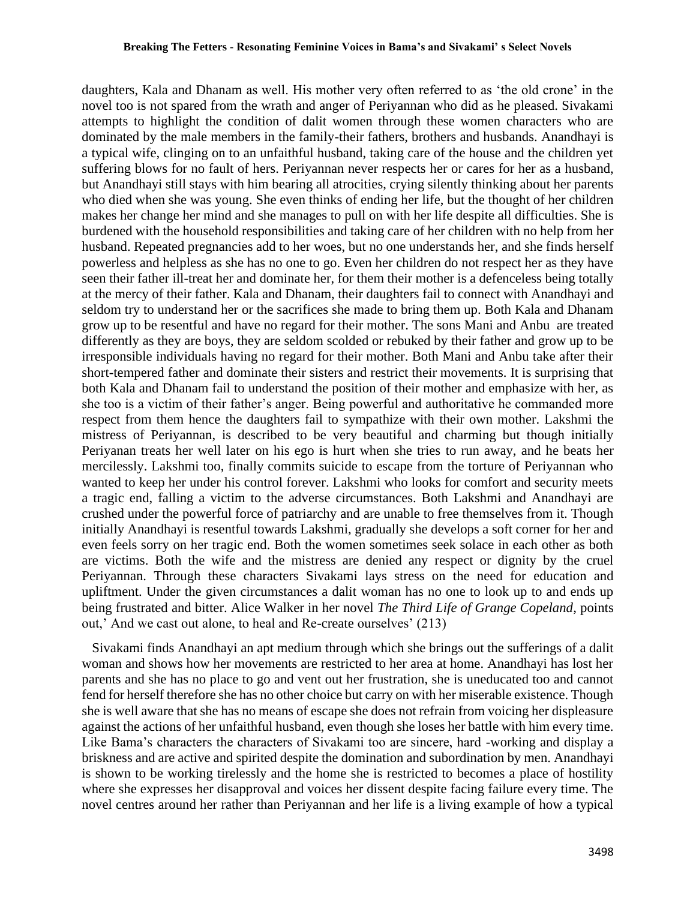#### **Breaking The Fetters - Resonating Feminine Voices in Bama's and Sivakami' s Select Novels**

daughters, Kala and Dhanam as well. His mother very often referred to as 'the old crone' in the novel too is not spared from the wrath and anger of Periyannan who did as he pleased. Sivakami attempts to highlight the condition of dalit women through these women characters who are dominated by the male members in the family-their fathers, brothers and husbands. Anandhayi is a typical wife, clinging on to an unfaithful husband, taking care of the house and the children yet suffering blows for no fault of hers. Periyannan never respects her or cares for her as a husband, but Anandhayi still stays with him bearing all atrocities, crying silently thinking about her parents who died when she was young. She even thinks of ending her life, but the thought of her children makes her change her mind and she manages to pull on with her life despite all difficulties. She is burdened with the household responsibilities and taking care of her children with no help from her husband. Repeated pregnancies add to her woes, but no one understands her, and she finds herself powerless and helpless as she has no one to go. Even her children do not respect her as they have seen their father ill-treat her and dominate her, for them their mother is a defenceless being totally at the mercy of their father. Kala and Dhanam, their daughters fail to connect with Anandhayi and seldom try to understand her or the sacrifices she made to bring them up. Both Kala and Dhanam grow up to be resentful and have no regard for their mother. The sons Mani and Anbu are treated differently as they are boys, they are seldom scolded or rebuked by their father and grow up to be irresponsible individuals having no regard for their mother. Both Mani and Anbu take after their short-tempered father and dominate their sisters and restrict their movements. It is surprising that both Kala and Dhanam fail to understand the position of their mother and emphasize with her, as she too is a victim of their father's anger. Being powerful and authoritative he commanded more respect from them hence the daughters fail to sympathize with their own mother. Lakshmi the mistress of Periyannan, is described to be very beautiful and charming but though initially Periyanan treats her well later on his ego is hurt when she tries to run away, and he beats her mercilessly. Lakshmi too, finally commits suicide to escape from the torture of Periyannan who wanted to keep her under his control forever. Lakshmi who looks for comfort and security meets a tragic end, falling a victim to the adverse circumstances. Both Lakshmi and Anandhayi are crushed under the powerful force of patriarchy and are unable to free themselves from it. Though initially Anandhayi is resentful towards Lakshmi, gradually she develops a soft corner for her and even feels sorry on her tragic end. Both the women sometimes seek solace in each other as both are victims. Both the wife and the mistress are denied any respect or dignity by the cruel Periyannan. Through these characters Sivakami lays stress on the need for education and upliftment. Under the given circumstances a dalit woman has no one to look up to and ends up being frustrated and bitter. Alice Walker in her novel *The Third Life of Grange Copeland*, points out,' And we cast out alone, to heal and Re-create ourselves' (213)

 Sivakami finds Anandhayi an apt medium through which she brings out the sufferings of a dalit woman and shows how her movements are restricted to her area at home. Anandhayi has lost her parents and she has no place to go and vent out her frustration, she is uneducated too and cannot fend for herself therefore she has no other choice but carry on with her miserable existence. Though she is well aware that she has no means of escape she does not refrain from voicing her displeasure against the actions of her unfaithful husband, even though she loses her battle with him every time. Like Bama's characters the characters of Sivakami too are sincere, hard -working and display a briskness and are active and spirited despite the domination and subordination by men. Anandhayi is shown to be working tirelessly and the home she is restricted to becomes a place of hostility where she expresses her disapproval and voices her dissent despite facing failure every time. The novel centres around her rather than Periyannan and her life is a living example of how a typical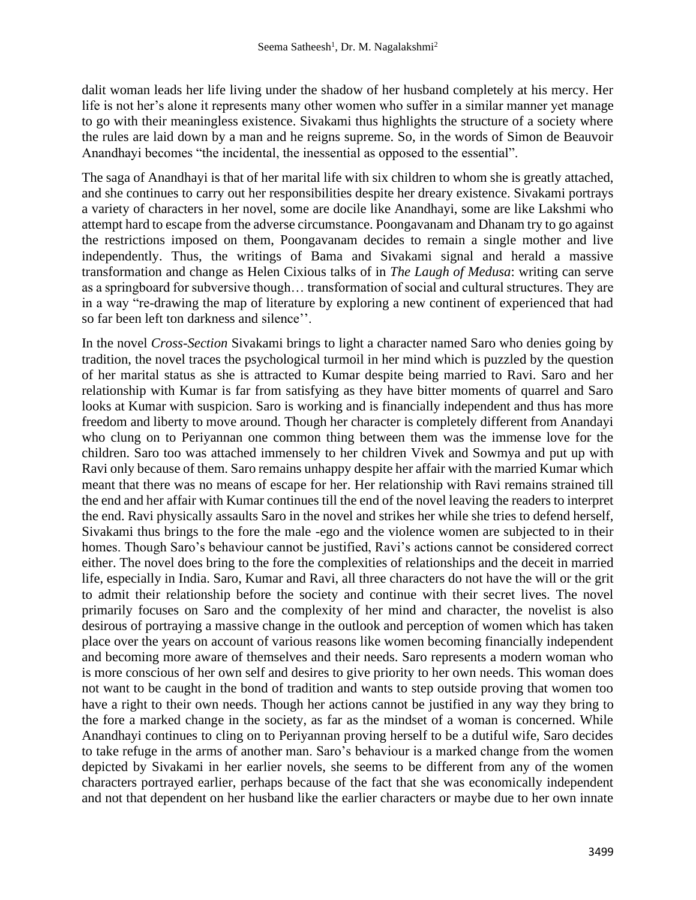dalit woman leads her life living under the shadow of her husband completely at his mercy. Her life is not her's alone it represents many other women who suffer in a similar manner yet manage to go with their meaningless existence. Sivakami thus highlights the structure of a society where the rules are laid down by a man and he reigns supreme. So, in the words of Simon de Beauvoir Anandhayi becomes "the incidental, the inessential as opposed to the essential".

The saga of Anandhayi is that of her marital life with six children to whom she is greatly attached, and she continues to carry out her responsibilities despite her dreary existence. Sivakami portrays a variety of characters in her novel, some are docile like Anandhayi, some are like Lakshmi who attempt hard to escape from the adverse circumstance. Poongavanam and Dhanam try to go against the restrictions imposed on them, Poongavanam decides to remain a single mother and live independently. Thus, the writings of Bama and Sivakami signal and herald a massive transformation and change as Helen Cixious talks of in *The Laugh of Medusa*: writing can serve as a springboard for subversive though… transformation of social and cultural structures. They are in a way "re-drawing the map of literature by exploring a new continent of experienced that had so far been left ton darkness and silence''.

In the novel *Cross-Section* Sivakami brings to light a character named Saro who denies going by tradition, the novel traces the psychological turmoil in her mind which is puzzled by the question of her marital status as she is attracted to Kumar despite being married to Ravi. Saro and her relationship with Kumar is far from satisfying as they have bitter moments of quarrel and Saro looks at Kumar with suspicion. Saro is working and is financially independent and thus has more freedom and liberty to move around. Though her character is completely different from Anandayi who clung on to Periyannan one common thing between them was the immense love for the children. Saro too was attached immensely to her children Vivek and Sowmya and put up with Ravi only because of them. Saro remains unhappy despite her affair with the married Kumar which meant that there was no means of escape for her. Her relationship with Ravi remains strained till the end and her affair with Kumar continues till the end of the novel leaving the readers to interpret the end. Ravi physically assaults Saro in the novel and strikes her while she tries to defend herself, Sivakami thus brings to the fore the male -ego and the violence women are subjected to in their homes. Though Saro's behaviour cannot be justified, Ravi's actions cannot be considered correct either. The novel does bring to the fore the complexities of relationships and the deceit in married life, especially in India. Saro, Kumar and Ravi, all three characters do not have the will or the grit to admit their relationship before the society and continue with their secret lives. The novel primarily focuses on Saro and the complexity of her mind and character, the novelist is also desirous of portraying a massive change in the outlook and perception of women which has taken place over the years on account of various reasons like women becoming financially independent and becoming more aware of themselves and their needs. Saro represents a modern woman who is more conscious of her own self and desires to give priority to her own needs. This woman does not want to be caught in the bond of tradition and wants to step outside proving that women too have a right to their own needs. Though her actions cannot be justified in any way they bring to the fore a marked change in the society, as far as the mindset of a woman is concerned. While Anandhayi continues to cling on to Periyannan proving herself to be a dutiful wife, Saro decides to take refuge in the arms of another man. Saro's behaviour is a marked change from the women depicted by Sivakami in her earlier novels, she seems to be different from any of the women characters portrayed earlier, perhaps because of the fact that she was economically independent and not that dependent on her husband like the earlier characters or maybe due to her own innate